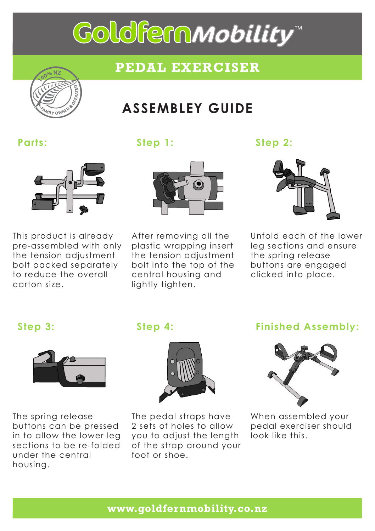# Goldfern*mobility*"

## **PEDAL EXERCISER**



# **ASSEMBLEY GUIDE**



This product is already pre-assembled with only the tension adjustment bolt packed separately to reduce the overall carton size.



After removing all the plastic wrapping insert the tension adjustment bolt into the top of the central housing and lightly tighten.



Unfold each of the lower leg sections and ensure the spring release buttons are engaged clicked into place.



The spring release buttons can be pressed in to allow the lower leg sections to be re-folded under the central housing.



The pedal straps have 2 sets of holes to allow you to adjust the length of the strap around your foot or shoe.

### **Step 3: Step 4: Finished Assembly:**



When assembled your pedal exerciser should look like this.